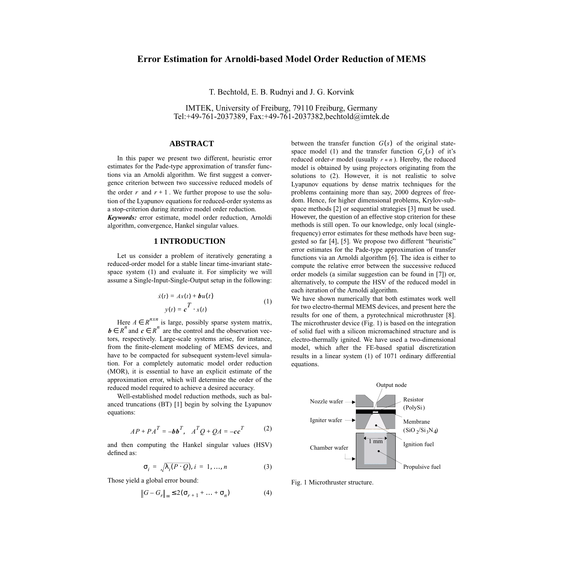# **Error Estimation for Arnoldi-based Model Order Reduction of MEMS**

T. Bechtold, E. B. Rudnyi and J. G. Korvink

IMTEK, University of Freiburg, 79110 Freiburg, Germany Tel:+49-761-2037389, Fax:+49-761-2037382,bechtold@imtek.de

### **ABSTRACT**

In this paper we present two different, heuristic error estimates for the Pade-type approximation of transfer functions via an Arnoldi algorithm. We first suggest a convergence criterion between two successive reduced models of the order  $r$  and  $r + 1$ . We further propose to use the solution of the Lyapunov equations for reduced-order systems as a stop-criterion during iterative model order reduction. *Keywords:* error estimate, model order reduction, Arnoldi algorithm, convergence, Hankel singular values.

#### **1 INTRODUCTION**

<span id="page-0-0"></span>Let us consider a problem of iteratively generating a reduced-order model for a stable linear time-invariant statespace system [\(1\)](#page-0-0) and evaluate it. For simplicity we will assume a Single-Input-Single-Output setup in the following:

$$
\dot{x}(t) = Ax(t) + \boldsymbol{b}u(t)
$$
  
\n
$$
y(t) = \boldsymbol{c}^T \cdot x(t)
$$
 (1)

Here  $A \in R^{n \times n}$  is large, possibly sparse system matrix, and  $c \in R^n$  are the control and the observation vectors, respectively. Large-scale systems arise, for instance, from the finite-element modeling of MEMS devices, and have to be compacted for subsequent system-level simulation. For a completely automatic model order reduction (MOR), it is essential to have an explicit estimate of the approximation error, which will determine the order of the reduced model required to achieve a desired accuracy.  $A \in R^{n \times n}$ *b*  $\in$  *R*<sup>*n*</sup> and *c*  $\in$  *R*<sup>*n*</sup>

<span id="page-0-1"></span>Well-established model reduction methods, such as balanced truncations (BT) [\[1\]](#page-3-0) begin by solving the Lyapunov equations:

$$
AP + PAT = -bbT, ATQ + QA = -ccT
$$
 (2)

and then computing the Hankel singular values (HSV) defined as:

$$
\sigma_i = \sqrt{\lambda_i(P \cdot Q)}, \, i = 1, ..., n \tag{3}
$$

<span id="page-0-3"></span>Those yield a global error bound:

$$
||G - Gr||\infty \le 2(\sigmar+1 + ... + \sigman)
$$
 (4)

between the transfer function  $G(s)$  of the original state-space model [\(1\)](#page-0-0) and the transfer function  $G_r(s)$  of it's reduced order-*r* model (usually  $r \ll n$ ). Hereby, the reduced model is obtained by using projectors originating from the solutions to [\(2\).](#page-0-1) However, it is not realistic to solve Lyapunov equations by dense matrix techniques for the problems containing more than say, 2000 degrees of freedom. Hence, for higher dimensional problems, Krylov-subspace methods [2] or sequential strategies [\[3\]](#page-3-1) must be used. However, the question of an effective stop criterion for these methods is still open. To our knowledge, only local (singlefrequency) error estimates for these methods have been suggested so far [\[4\],](#page-3-2) [\[5\]](#page-3-3). We propose two different "heuristic" error estimates for the Pade-type approximation of transfer functions via an Arnoldi algorithm [\[6\].](#page-3-4) The idea is either to compute the relative error between the successive reduced order models (a similar suggestion can be found in [\[7\]\)](#page-3-5) or, alternatively, to compute the HSV of the reduced model in each iteration of the Arnoldi algorithm.

We have shown numerically that both estimates work well for two electro-thermal MEMS devices, and present here the results for one of them, a pyrotechnical microthruster [\[8\]](#page-3-6). The microthruster device [\(Fig. 1\)](#page-0-2) is based on the integration of solid fuel with a silicon micromachined structure and is electro-thermally ignited. We have used a two-dimensional model, which after the FE-based spatial discretization results in a linear system [\(1\)](#page-0-0) of 1071 ordinary differential equations.



<span id="page-0-2"></span>Fig. 1 Microthruster structure.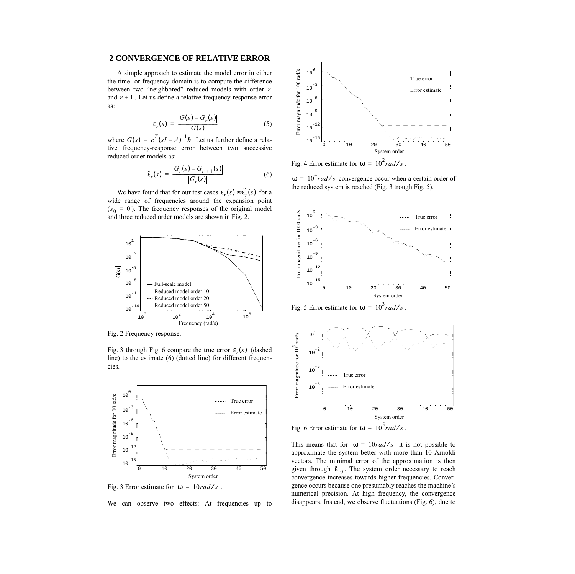## **2 CONVERGENCE OF RELATIVE ERROR**

A simple approach to estimate the model error in either the time- or frequency-domain is to compute the difference between two "neighbored" reduced models with order *r* and  $r + 1$ . Let us define a relative frequency-response error as:

$$
\varepsilon_r(s) = \frac{|G(s) - G_r(s)|}{|G(s)|} \tag{5}
$$

<span id="page-1-3"></span>where  $G(s) = c^T (sI - A)^{-1}$ *b*. Let us further define a relative frequency-response error between two successive reduced order models as:

$$
\hat{\varepsilon}_r(s) = \frac{|G_r(s) - G_{r+1}(s)|}{|G_r(s)|} \tag{6}
$$

We have found that for our test cases  $\varepsilon_r(s) \approx \hat{\varepsilon}_r(s)$  for a wide range of frequencies around the expansion point  $(s_0 = 0)$ . The frequency responses of the original model and three reduced order models are shown in [Fig. 2.](#page-1-0)



<span id="page-1-0"></span>Fig. 2 Frequency response.

[Fig. 3](#page-1-1) through [Fig. 6](#page-1-2) compare the true error  $\varepsilon_r(s)$  (dashed line) to the estimate [\(6\)](#page-1-3) (dotted line) for different frequencies.



<span id="page-1-1"></span>Fig. 3 Error estimate for  $\omega = 10 \frac{rad}{s}$ .

We can observe two effects: At frequencies up to



Fig. 4 Error estimate for  $\omega = 10^2$  rad/s.

 $\omega = 10^4$  rad/s convergence occur when a certain order of the reduced system is reached [\(Fig. 3](#page-1-1) trough [Fig. 5\)](#page-1-4).



<span id="page-1-4"></span>Fig. 5 Error estimate for  $\omega = 10^3$  rad/s.



<span id="page-1-2"></span>Fig. 6 Error estimate for  $\omega = 10^5$  rad/s.

This means that for  $\omega = 10 \frac{rad}{s}$  it is not possible to approximate the system better with more than 10 Arnoldi vectors. The minimal error of the approximation is then given through  $\hat{\epsilon}_{10}$ . The system order necessary to reach convergence increases towards higher frequencies. Convergence occurs because one presumably reaches the machine's numerical precision. At high frequency, the convergence disappears. Instead, we observe fluctuations [\(Fig. 6\)](#page-1-2), due to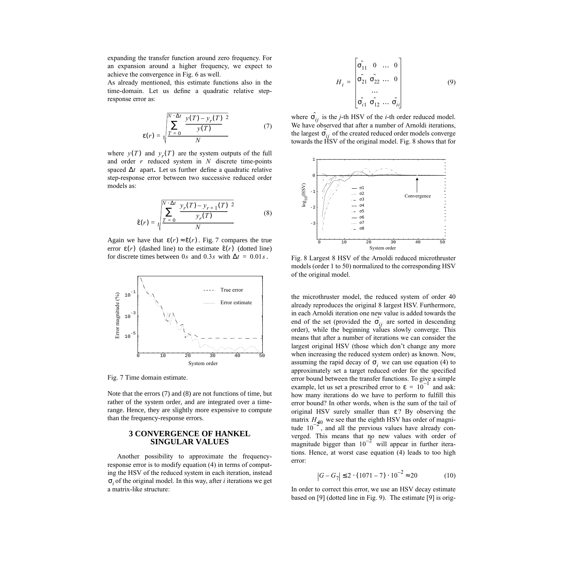expanding the transfer function around zero frequency. For an expansion around a higher frequency, we expect to achieve the convergence in [Fig. 6](#page-1-2) as well.

<span id="page-2-2"></span>As already mentioned, this estimate functions also in the time-domain. Let us define a quadratic relative stepresponse error as:

$$
\mathcal{E}(r) = \sqrt{\frac{\sum_{T=0}^{N} \left(\frac{y(T) - y_r(T)}{y(T)}\right)^2}{N}}
$$
(7)

<span id="page-2-3"></span>where  $y(T)$  and  $y<sub>r</sub>(T)$  are the system outputs of the full and order  $r$  reduced system in  $N$  discrete time-points spaced  $\Delta t$  apart. Let us further define a quadratic relative step-response error between two successive reduced order models as:

$$
\hat{\varepsilon}(r) = \sqrt{\frac{\sum_{T=0}^{N \cdot \Delta t} \left(\frac{\mathcal{Y}_r(T) - \mathcal{Y}_{r+1}(T)}{\mathcal{Y}_r(T)}\right)^2}{N}}
$$
(8)

Again we have that  $\varepsilon(r) \approx \hat{\varepsilon}(r)$ . [Fig. 7](#page-2-0) compares the true error  $\varepsilon(r)$  (dashed line) to the estimate  $\hat{\varepsilon}(r)$  (dotted line) for discrete times between 0*s* and 0.3*s* with  $\Delta t = 0.01s$ .



<span id="page-2-0"></span>Fig. 7 Time domain estimate.

Note that the errors [\(7\)](#page-2-2) and [\(8\)](#page-2-3) are not functions of time, but rather of the system order, and are integrated over a timerange. Hence, they are slightly more expensive to compute than the frequency-response errors.

## **3 CONVERGENCE OF HANKEL SINGULAR VALUES**

Another possibility to approximate the frequencyresponse error is to modify equation [\(4\)](#page-0-3) in terms of computing the HSV of the reduced system in each iteration, instead of the original model. In this way, after *i* iterations we get σ*i* a matrix-like structure:

$$
H_{i} = \begin{bmatrix} \hat{\sigma_{11}} & 0 & \dots & 0 \\ \hat{\sigma_{21}} & \hat{\sigma_{22}} & \dots & 0 \\ \dots & \vdots & \vdots \\ \hat{\sigma_{i1}} & \hat{\sigma_{12}} & \dots & \hat{\sigma_{ii}} \end{bmatrix}
$$
(9)

where  $\hat{\sigma}_{ij}$  is the *j*-th HSV of the *i*-th order reduced model. We have observed that after a number of Arnoldi iterations, the largest  $\hat{\sigma}_{ij}$  of the created reduced order models converge towards the HSV of the original model. [Fig. 8](#page-2-1) shows that for



<span id="page-2-1"></span>Fig. 8 Largest 8 HSV of the Arnoldi reduced microthruster models (order 1 to 50) normalized to the corresponding HSV of the original model.

the microthruster model, the reduced system of order 40 already reproduces the original 8 largest HSV. Furthermore, in each Arnoldi iteration one new value is added towards the end of the set (provided the  $\hat{\sigma}_{ij}$  are sorted in descending order), while the beginning values slowly converge. This means that after a number of iterations we can consider the largest original HSV (those which don't change any more when increasing the reduced system order) as known. Now, assuming the rapid decay of  $\sigma_i$  we can use equation [\(4\)](#page-0-3) to approximately set a target reduced order for the specified error bound between the transfer functions. To give a simple example, let us set a prescribed error to  $\varepsilon = 10^{-1}$  and ask: how many iterations do we have to perform to fulfill this error bound? In other words, when is the sum of the tail of original HSV surely smaller than  $\varepsilon$ ? By observing the matrix  $H_{40}$  we see that the eighth HSV has order of magnitude  $10^{-2}$ , and all the previous values have already converged. This means that no new values with order of magnitude bigger than  $10^{-2}$  will appear in further iterations. Hence, at worst case equation [\(4\)](#page-0-3) leads to too high error:

$$
G - G_7 \le 2 \cdot (1071 - 7) \cdot 10^{-2} \approx 20 \tag{10}
$$

<span id="page-2-4"></span>In order to correct this error, we use an HSV decay estimate based on [\[9\]](#page-3-7) (dotted line in [Fig. 9](#page-3-8)). The estimate [\[9\]](#page-3-7) is orig-